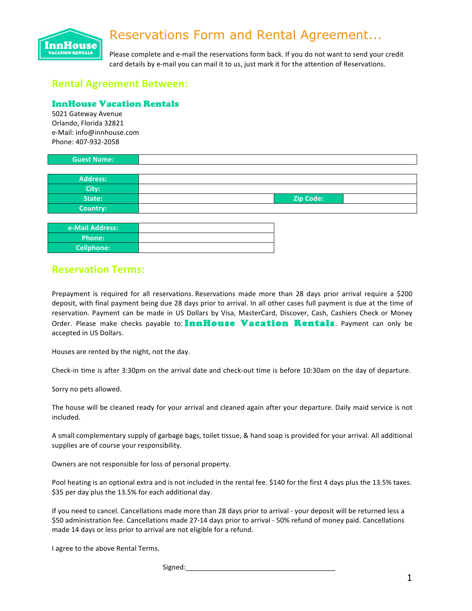# Reservations Form and Rental Agreement...



Please complete and e-mail the reservations form back. If you do not want to send your credit card details by e-mail you can mail it to us, just mark it for the attention of Reservations.

# **Rental Agreement Between:**

#### InnHouse Vacation Rentals

5021 Gateway Avenue Orlando, Florida 32821 e-Mail: info@innhouse.com Phone: 407-932-2058

| <b>Guest Name:</b> |                  |  |
|--------------------|------------------|--|
|                    |                  |  |
| <b>Address:</b>    |                  |  |
| City:              |                  |  |
| State:             | <b>Zip Code:</b> |  |

| e-Mail Address:   |  |
|-------------------|--|
| <b>Phone:</b>     |  |
| <b>Cellphone:</b> |  |

### **Reservation Terms:**

**Country:**

Prepayment is required for all reservations. Reservations made more than 28 days prior arrival require a \$200 deposit, with final payment being due 28 days prior to arrival. In all other cases full payment is due at the time of reservation. Payment can be made in US Dollars by Visa, MasterCard, Discover, Cash, Cashiers Check or Money Order. Please make checks payable to: InnHouse Vacation Rentals Payment can only be accepted in US Dollars.

Houses are rented by the night, not the day.

Check-in time is after 3:30pm on the arrival date and check-out time is before 10:30am on the day of departure.

Sorry no pets allowed.

The house will be cleaned ready for your arrival and cleaned again after your departure. Daily maid service is not included.

A small complementary supply of garbage bags, toilet tissue, & hand soap is provided for your arrival. All additional supplies are of course your responsibility.

Owners are not responsible for loss of personal property.

Pool heating is an optional extra and is not included in the rental fee. \$140 for the first 4 days plus the 13.5% taxes. \$35 per day plus the 13.5% for each additional day.

If you need to cancel. Cancellations made more than 28 days prior to arrival - your deposit will be returned less a \$50 administration fee. Cancellations made 27-14 days prior to arrival - 50% refund of money paid. Cancellations made 14 days or less prior to arrival are not eligible for a refund.

I agree to the above Rental Terms.

Signed: